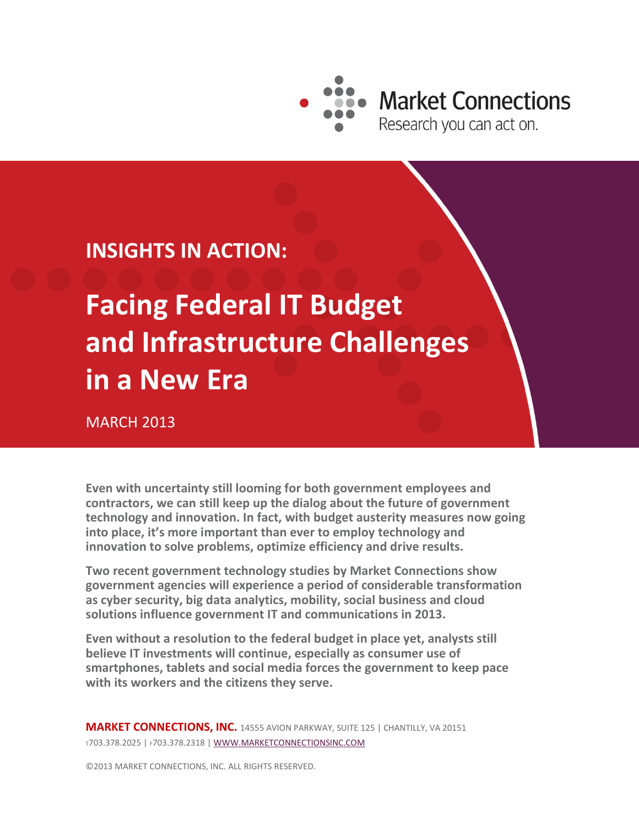

**Market Connections** 

**INSIGHTS IN ACTION:**

**Facing Federal IT Budget and Infrastructure Challenges in a New Era**

MARCH 2013

**Even with uncertainty still looming for both government employees and contractors, we can still keep up the dialog about the future of government technology and innovation. In fact, with budget austerity measures now going into place, it's more important than ever to employ technology and innovation to solve problems, optimize efficiency and drive results.**

**Two recent government technology studies by Market Connections show government agencies will experience a period of considerable transformation as cyber security, big data analytics, mobility, social business and cloud solutions influence government IT and communications in 2013.** 

**Even without a resolution to the federal budget in place yet, analysts still believe IT investments will continue, especially as consumer use of smartphones, tablets and social media forces the government to keep pace with its workers and the citizens they serve.**

**MARKET CONNECTIONS, INC.** 14555 AVION PARKWAY, SUITE 125 | CHANTILLY, VA 20151 <sup>T</sup>703.378.2025 | F703.378.2318 | [WWW.MARKETCONNECTIONSINC.COM](http://www.marketconnectionsinc.com/)

©2013 MARKET CONNECTIONS, INC. ALL RIGHTS RESERVED.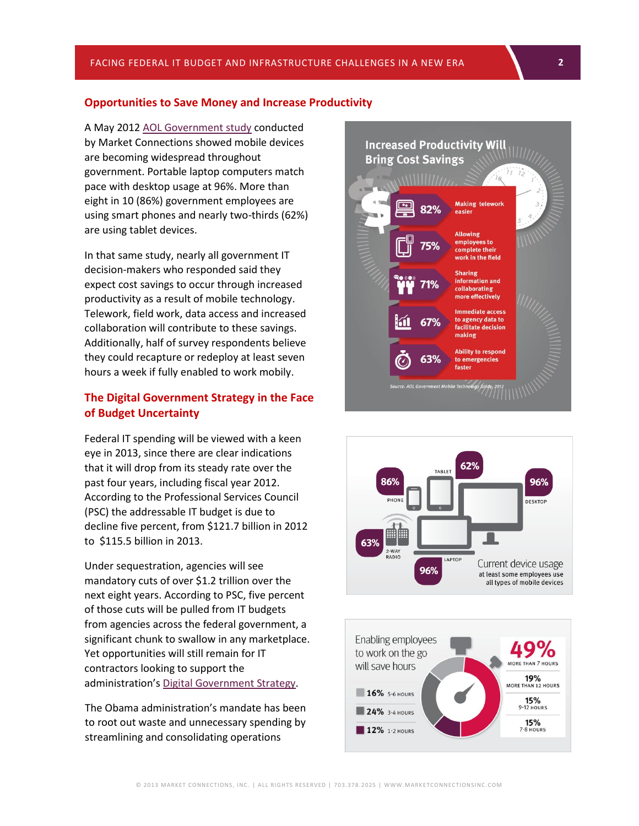### **Opportunities to Save Money and Increase Productivity**

A May 2012 [AOL Government study](http://fedconnects.com/index.php/2012/05/market-connections-and-aol-government-study-shows-that-feds-see-great-potential-in-mobility-but-warn-of-inadequate-investment/) conducted by Market Connections showed mobile devices are becoming widespread throughout government. Portable laptop computers match pace with desktop usage at 96%. More than eight in 10 (86%) government employees are using smart phones and nearly two-thirds (62%) are using tablet devices.

In that same study, nearly all government IT decision-makers who responded said they expect cost savings to occur through increased productivity as a result of mobile technology. Telework, field work, data access and increased collaboration will contribute to these savings. Additionally, half of survey respondents believe they could recapture or redeploy at least seven hours a week if fully enabled to work mobily.

## **The Digital Government Strategy in the Face of Budget Uncertainty**

Federal IT spending will be viewed with a keen eye in 2013, since there are clear indications that it will drop from its steady rate over the past four years, including fiscal year 2012. According to the Professional Services Council (PSC) the addressable IT budget is due to decline five percent, from \$121.7 billion in 2012 to \$115.5 billion in 2013.

Under sequestration, agencies will see mandatory cuts of over \$1.2 trillion over the next eight years. According to PSC, five percent of those cuts will be pulled from IT budgets from agencies across the federal government, a significant chunk to swallow in any marketplace. Yet opportunities will still remain for IT contractors looking to support the administration's [Digital Government Strategy.](http://www.whitehouse.gov/sites/default/files/omb/egov/digital-government/digital-government.html)

The Obama administration's mandate has been to root out waste and unnecessary spending by streamlining and consolidating operations





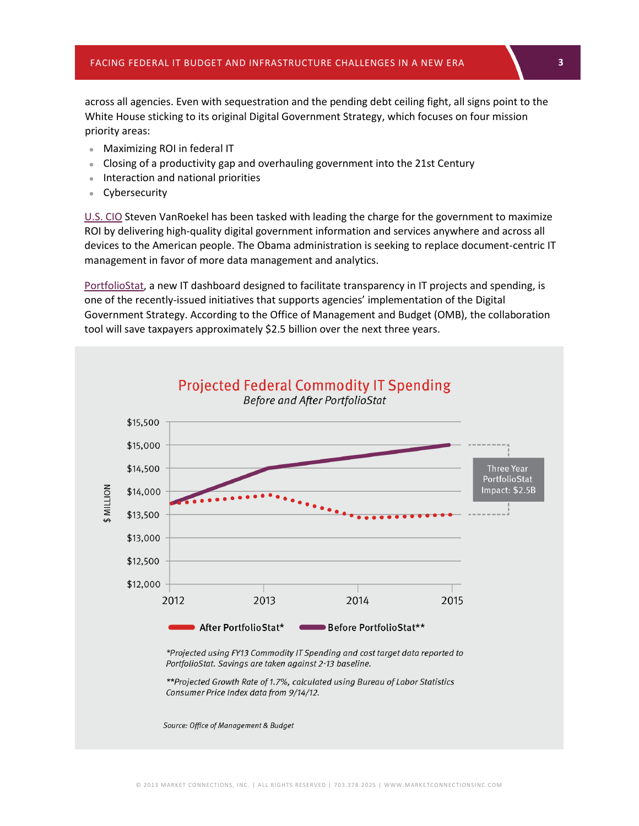across all agencies. Even with sequestration and the pending debt ceiling fight, all signs point to the White House sticking to its original Digital Government Strategy, which focuses on four mission priority areas:

- Maximizing ROI in federal IT
- Closing of a productivity gap and overhauling government into the 21st Century
- Interaction and national priorities
- Cybersecurity

[U.S. CIO](https://cio.gov/) Steven VanRoekel has been tasked with leading the charge for the government to maximize ROI by delivering high-quality digital government information and services anywhere and across all devices to the American people. The Obama administration is seeking to replace document-centric IT management in favor of more data management and analytics.

[PortfolioStat,](http://www.whitehouse.gov/blog/2012/10/24/portfoliostat-saving-billions-it-spending) a new IT dashboard designed to facilitate transparency in IT projects and spending, is one of the recently-issued initiatives that supports agencies' implementation of the Digital Government Strategy. According to the Office of Management and Budget (OMB), the collaboration tool will save taxpayers approximately \$2.5 billion over the next three years.

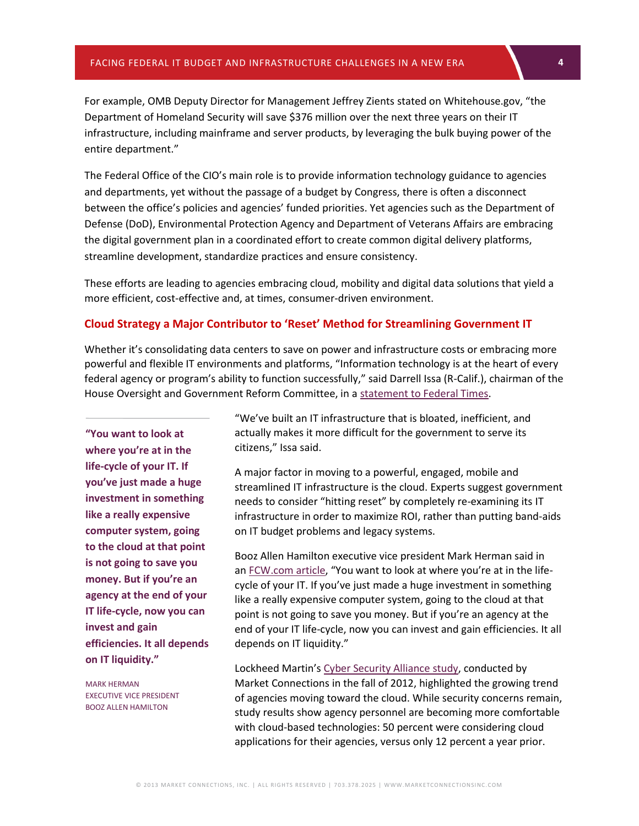For example, OMB Deputy Director for Management Jeffrey Zients stated on Whitehouse.gov, "the Department of Homeland Security will save \$376 million over the next three years on their IT infrastructure, including mainframe and server products, by leveraging the bulk buying power of the entire department."

The Federal Office of the CIO's main role is to provide information technology guidance to agencies and departments, yet without the passage of a budget by Congress, there is often a disconnect between the office's policies and agencies' funded priorities. Yet agencies such as the Department of Defense (DoD), Environmental Protection Agency and Department of Veterans Affairs are embracing the digital government plan in a coordinated effort to create common digital delivery platforms, streamline development, standardize practices and ensure consistency.

These efforts are leading to agencies embracing cloud, mobility and digital data solutions that yield a more efficient, cost-effective and, at times, consumer-driven environment.

#### **Cloud Strategy a Major Contributor to 'Reset' Method for Streamlining Government IT**

Whether it's consolidating data centers to save on power and infrastructure costs or embracing more powerful and flexible IT environments and platforms, "Information technology is at the heart of every federal agency or program's ability to function successfully," said Darrell Issa (R-Calif.), chairman of the House Oversight and Government Reform Committee, in a [statement to Federal Times.](http://www.federaltimes.com/article/20130122/IT03/301220001/GAO-faults-oversight-investments?odyssey=mod_sectionstories)

**"You want to look at where you're at in the life-cycle of your IT. If you've just made a huge investment in something like a really expensive computer system, going to the cloud at that point is not going to save you money. But if you're an agency at the end of your IT life-cycle, now you can invest and gain efficiencies. It all depends on IT liquidity."**

MARK HERMAN EXECUTIVE VICE PRESIDENT BOOZ ALLEN HAMILTON

"We've built an IT infrastructure that is bloated, inefficient, and actually makes it more difficult for the government to serve its citizens," Issa said.

A major factor in moving to a powerful, engaged, mobile and streamlined IT infrastructure is the cloud. Experts suggest government needs to consider "hitting reset" by completely re-examining its IT infrastructure in order to maximize ROI, rather than putting band-aids on IT budget problems and legacy systems.

Booz Allen Hamilton executive vice president Mark Herman said in an [FCW.com article](http://fcw.com/Articles/2013/01/09/big-data-reference-architecture.aspx?sc_lang=en&Page=2), "You want to look at where you're at in the lifecycle of your IT. If you've just made a huge investment in something like a really expensive computer system, going to the cloud at that point is not going to save you money. But if you're an agency at the end of your IT life-cycle, now you can invest and gain efficiencies. It all depends on IT liquidity."

Lockheed Martin's [Cyber Security Alliance](http://www.marketconnectionsinc.com/Reports/cyber-security-and-transformational-technologies-2012.html) study, conducted by Market Connections in the fall of 2012, highlighted the growing trend of agencies moving toward the cloud. While security concerns remain, study results show agency personnel are becoming more comfortable with cloud-based technologies: 50 percent were considering cloud applications for their agencies, versus only 12 percent a year prior.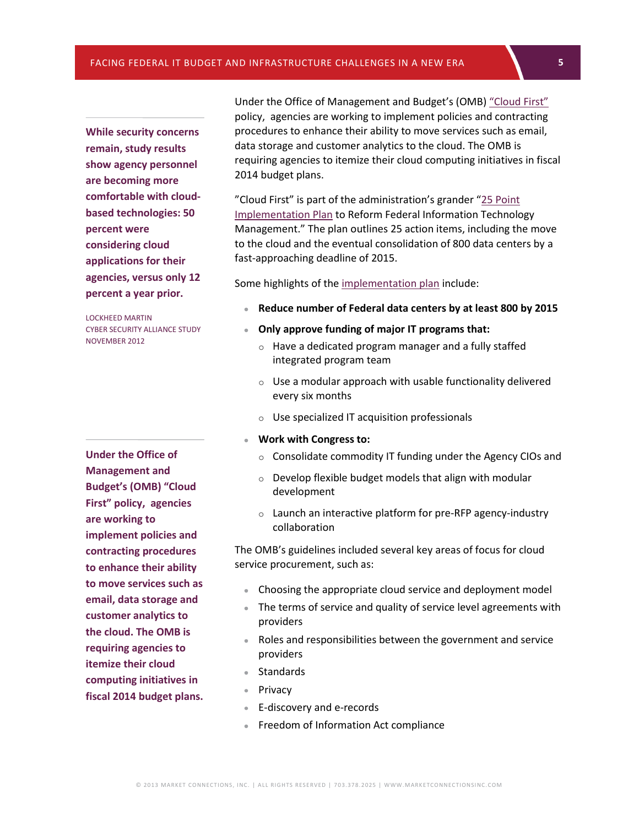**While security concerns remain, study results show agency personnel are becoming more comfortable with cloud[based technologies: 50](http://www.dhs.gov/sites/default/files/publications/digital-strategy/25-point-implementation-plan-to-reform-federal-it.pdf)  percent were considering cloud applications for their agencies, versus only 12 percent a year prior.**

LOCKHEED MARTIN CYBER SECURITY ALLIANCE STUDY NOVEMBER 2012

**Under the Office of Management and Budget's (OMB) "Cloud First" policy, agencies are working to implement policies and contracting procedures to enhance their ability to move services such as email, data storage and customer analytics to the cloud. The OMB is requiring agencies to itemize their cloud computing initiatives in fiscal 2014 budget plans.**

Under the Office of Management and Budget's (OMB[\) "Cloud First"](https://cio.gov/building-a-21st-century-government/cloud/) policy, agencies are working to implement policies and contracting procedures to enhance their ability to move services such as email, data storage and customer analytics to the cloud. The OMB is requiring agencies to itemize their cloud computing initiatives in fiscal 2014 budget plans.

"Cloud First" is part of the administration's grander "[25 Point](http://www.dhs.gov/sites/default/files/publications/digital-strategy/25-point-implementation-plan-to-reform-federal-it.pdf)  Implementation Plan to Reform Federal Information Technology Management." The plan outlines 25 action items, including the move to the cloud and the eventual consolidation of 800 data centers by a fast-approaching deadline of 2015.

Some highlights of the [implementation plan](http://www.whitehouse.gov/sites/default/files/omb/egov/digital-government/digital-government.html) include:

- **Reduce number of Federal data centers by at least 800 by 2015**
- **Only approve funding of major IT programs that:**
	- o Have a dedicated program manager and a fully staffed integrated program team
	- $\circ$  Use a modular approach with usable functionality delivered every six months
	- o Use specialized IT acquisition professionals
- **Work with Congress to:**
	- o Consolidate commodity IT funding under the Agency CIOs and
	- o Develop flexible budget models that align with modular development
	- o Launch an interactive platform for pre-RFP agency-industry collaboration

The OMB's guidelines included several key areas of focus for cloud service procurement, such as:

- Choosing the appropriate cloud service and deployment model
- The terms of service and quality of service level agreements with providers
- Roles and responsibilities between the government and service providers
- Standards
- Privacy
- E-discovery and e-records
- **Freedom of Information Act compliance**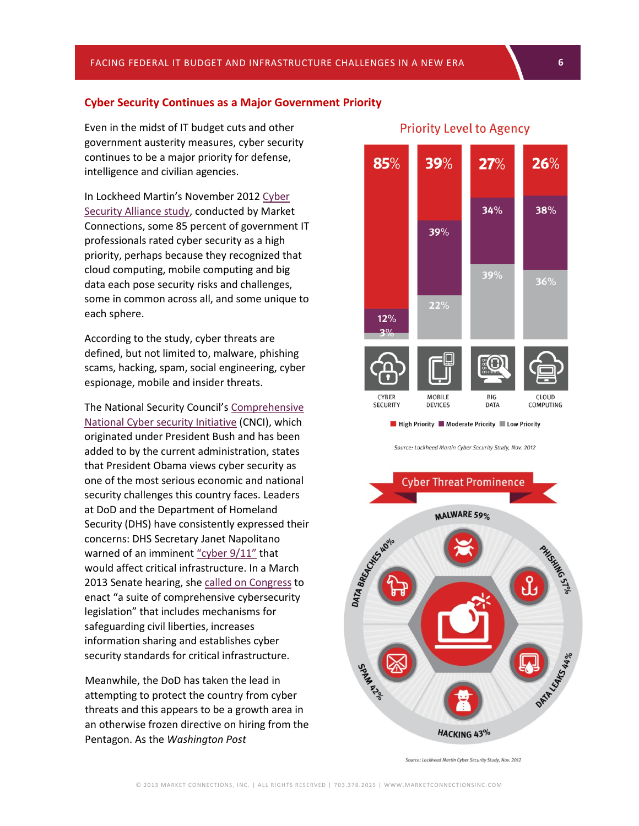#### **Cyber Security Continues as a Major Government Priority**

Even in the midst of IT budget cuts and other government austerity measures, cyber security continues to be a major priority for defense, intelligence and civilian agencies.

In Lockheed Martin's November 201[2 Cyber](http://www.marketconnectionsinc.com/Reports/cyber-security-and-transformational-technologies-2012.html)  [Security Alliance](http://www.marketconnectionsinc.com/Reports/cyber-security-and-transformational-technologies-2012.html) study, conducted by Market Connections, some 85 percent of government IT professionals rated cyber security as a high priority, perhaps because they recognized that cloud computing, mobile computing and big data each pose security risks and challenges, some in common across all, and some unique to each sphere.

According to the study, cyber threats are defined, but not limited to, malware, phishing scams, hacking, spam, social engineering, cyber espionage, mobile and insider threats.

The National Security Council's [Comprehensive](http://www.whitehouse.gov/cybersecurity/comprehensive-national-cybersecurity-initiative)  [National Cyber security Initiative](http://www.whitehouse.gov/cybersecurity/comprehensive-national-cybersecurity-initiative) (CNCI), which originated under President Bush and has been added to by the current administration, states that President Obama views cyber security as one of the most serious economic and national security challenges this country faces. Leaders at DoD and the Department of Homeland Security (DHS) have consistently expressed their concerns: DHS Secretary Janet Napolitano warned of an imminent ["cyber 9/11"](http://www.reuters.com/article/2013/01/24/us-usa-cyber-threat-idUSBRE90N1A320130124) that would affect critical infrastructure. In a March 2013 Senate hearing, she [called on Congress](http://www.fiercegovernmentit.com/story/napolitano-cybersecurity-executive-order-only-part-solution/2013-03-11) to enact "a suite of comprehensive cybersecurity legislation" that includes mechanisms for safeguarding civil liberties, increases information sharing and establishes cyber security standards for critical infrastructure.

Meanwhile, the DoD has taken the lead in attempting to protect the country from cyber threats and this appears to be a growth area in an otherwise frozen directive on hiring from the Pentagon. As the *Washington Post*



# **Priority Level to Agency**

Source: Lockheed Martin Cyber Security Study, Nov. 2012



Source: Lockheed Martin Cyber Security Study, Nov. 2012